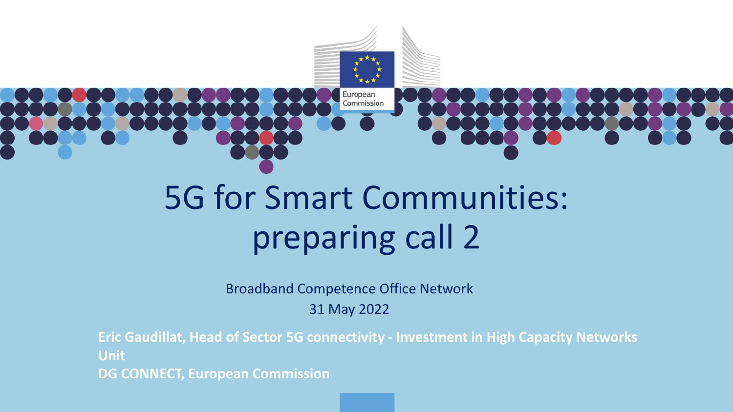

European Commission

# 5G for Smart Communities: preparing call 2

Broadband Competence Office Network

31 May 2022

**Eric Gaudillat, Head of Sector 5G connectivity - Investment in High Capacity Networks Unit DG CONNECT, European Commission**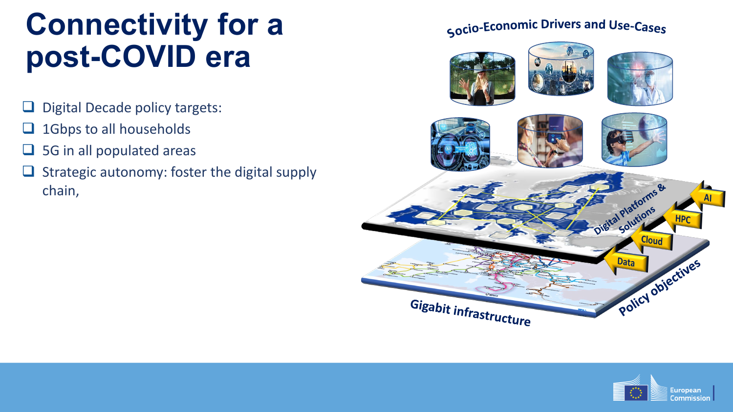# **Connectivity for a post-COVID era**

- $\Box$  Digital Decade policy targets:
- $\Box$  1Gbps to all households
- $\Box$  5G in all populated areas
- $\Box$  Strategic autonomy: foster the digital supply chain,

#### Socio-Economic Drivers and Use-Cases



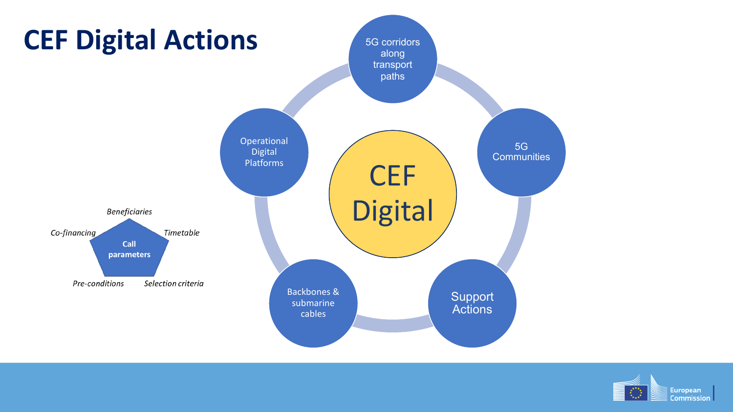

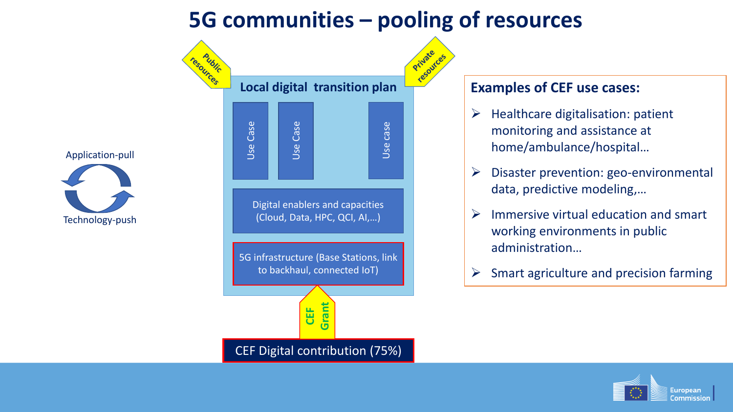#### **5G communities – pooling of resources**





#### **Examples of CEF use cases:**

- $\triangleright$  Healthcare digitalisation: patient monitoring and assistance at home/ambulance/hospital…
- $\triangleright$  Disaster prevention: geo-environmental data, predictive modeling,…
- $\triangleright$  Immersive virtual education and smart working environments in public administration…
- $\triangleright$  Smart agriculture and precision farming

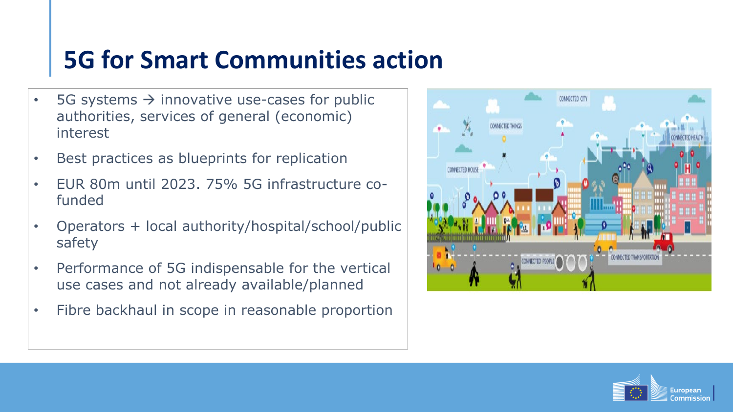### **5G for Smart Communities action**

- 5G systems  $\rightarrow$  innovative use-cases for public authorities, services of general (economic) interest
- Best practices as blueprints for replication
- EUR 80m until 2023. 75% 5G infrastructure cofunded
- Operators + local authority/hospital/school/public safety
- Performance of 5G indispensable for the vertical use cases and not already available/planned
- Fibre backhaul in scope in reasonable proportion



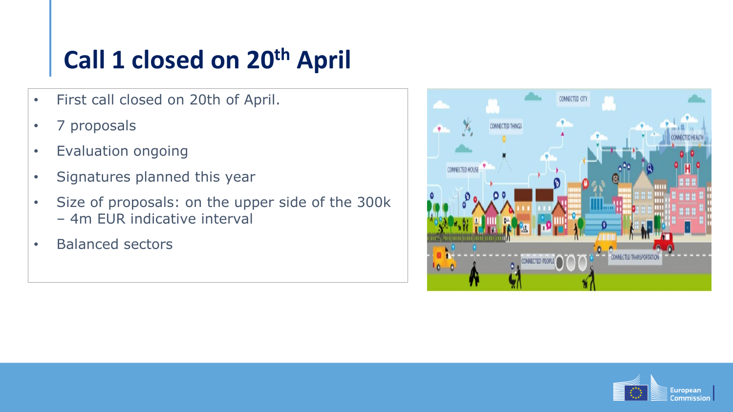# **Call 1 closed on 20th April**

- First call closed on 20th of April.
- 7 proposals
- Evaluation ongoing
- Signatures planned this year
- Size of proposals: on the upper side of the 300k – 4m EUR indicative interval
- Balanced sectors



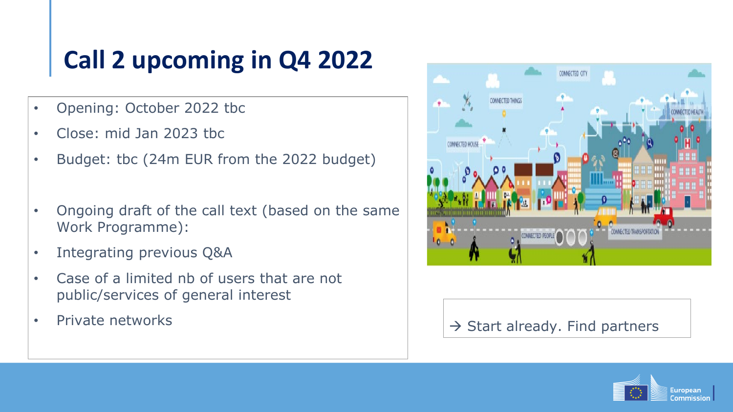# **Call 2 upcoming in Q4 2022**

- Opening: October 2022 tbc
- Close: mid Jan 2023 tbc
- Budget: tbc (24m EUR from the 2022 budget)
- Ongoing draft of the call text (based on the same Work Programme):
- Integrating previous Q&A
- Case of a limited nb of users that are not public/services of general interest
- 



#### • Private networks  $\left|\left|\right\rangle\right|$   $\Rightarrow$  Start already. Find partners

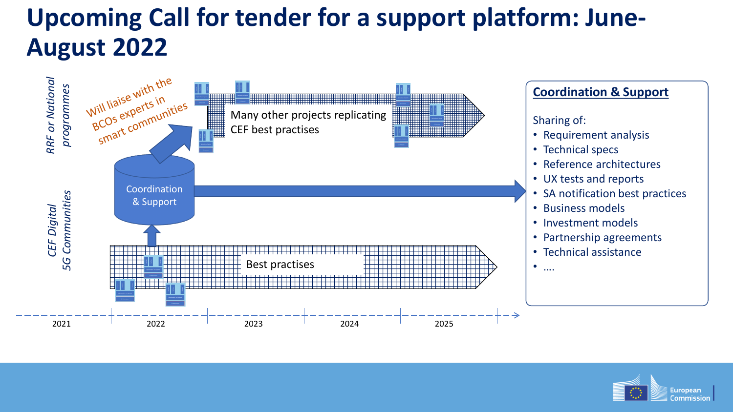## **Upcoming Call for tender for a support platform: June-August 2022**